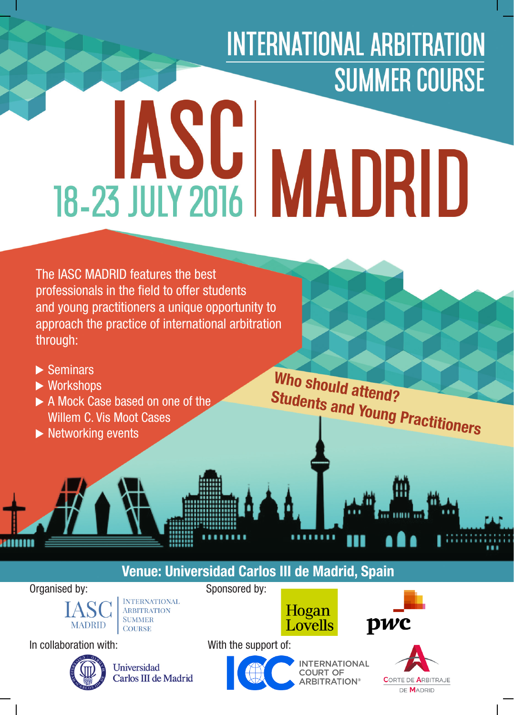# **INTERNATIONAL ARBITRATION SUMMER COURSE IASC MADRID**

The IASC MADRID features the best professionals in the field to offer students and young practitioners a unique opportunity to approach the practice of international arbitration through:

- $\blacktriangleright$  Seminars
- ▶ Workshops
- A Mock Case based on one of the Willem C. Vis Moot Cases
- $\blacktriangleright$  Networking events

**Who should attend? Students and Young Practitioners**

### **Venue: Universidad Carlos III de Madrid, Spain**

Organised by: Sponsored by:



**INTERNATIONAL** ARBITRATION **SUMMER COURSE** 

In collaboration with: With the support of:



Universidad Carlos III de Madrid



**INTERNATIONAL COURT OF ARBITRATION®** 

Hogan

Lovells



pwc